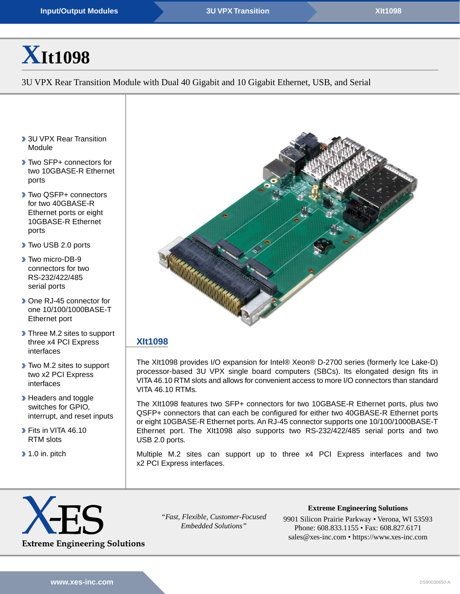# **[X](https://www.xes-inc.com/products/rear-transition-modules-rtms/xit1098/?utm_source=dynamic&utm_medium=referral&utm_term=XIt1098&utm_content=Title&utm_campaign=Datasheet)[It1098](https://www.xes-inc.com/products/rear-transition-modules-rtms/xit1098/?utm_source=dynamic&utm_medium=referral&utm_term=XIt1098&utm_content=Title&utm_campaign=Datasheet)**

3U VPX Rear Transition Module with Dual 40 Gigabit and 10 Gigabit Ethernet, USB, and Serial

- **3U VPX Rear Transition** Module
- ▶ Two SFP+ connectors for two 10GBASE-R Ethernet ports
- ▶ Two QSFP+ connectors for two 40GBASE-R Ethernet ports or eight 10GBASE-R Ethernet ports
- Two USB 2.0 ports
- Two micro-DB-9 connectors for two RS-232/422/485 serial ports
- ▶ One RJ-45 connector for one 10/100/1000BASE-T Ethernet port
- Three M.2 sites to support three x4 PCI Express interfaces
- ▶ Two M.2 sites to support two x2 PCI Express interfaces
- Headers and toggle switches for GPIO, interrupt, and reset inputs
- Fits in VITA 46.10 RTM slots
- $\blacktriangleright$  1.0 in. pitch



# **[XIt1098](https://www.xes-inc.com/products/rear-transition-modules-rtms/xit1098/?utm_source=dynamic&utm_medium=referral&utm_term=XIt1098&utm_content=Description%20Title&utm_campaign=Datasheet)**

The XIt1098 provides I/O expansion for Intel® Xeon® D-2700 series (formerly Ice Lake-D) processor-based 3U VPX single board computers (SBCs). Its elongated design fits in VITA 46.10 RTM slots and allows for convenient access to more I/O connectors than standard VITA 46.10 RTMs.

The XIt1098 features two SFP+ connectors for two 10GBASE-R Ethernet ports, plus two QSFP+ connectors that can each be configured for either two 40GBASE-R Ethernet ports or eight 10GBASE-R Ethernet ports. An RJ-45 connector supports one 10/100/1000BASE-T Ethernet port. The XIt1098 also supports two RS-232/422/485 serial ports and two USB 2.0 ports.

Multiple M.2 sites can support up to three x4 PCI Express interfaces and two x2 PCI Express interfaces.



*"Fast, Flexible, Customer-Focused Embedded Solutions"*

**Extreme Engineering Solutions**

9901 Silicon Prairie Parkway • Verona, WI 53593 Phone: 608.833.1155 • Fax: 608.827.6171 sales@xes-inc.com • <https://www.xes-inc.com>